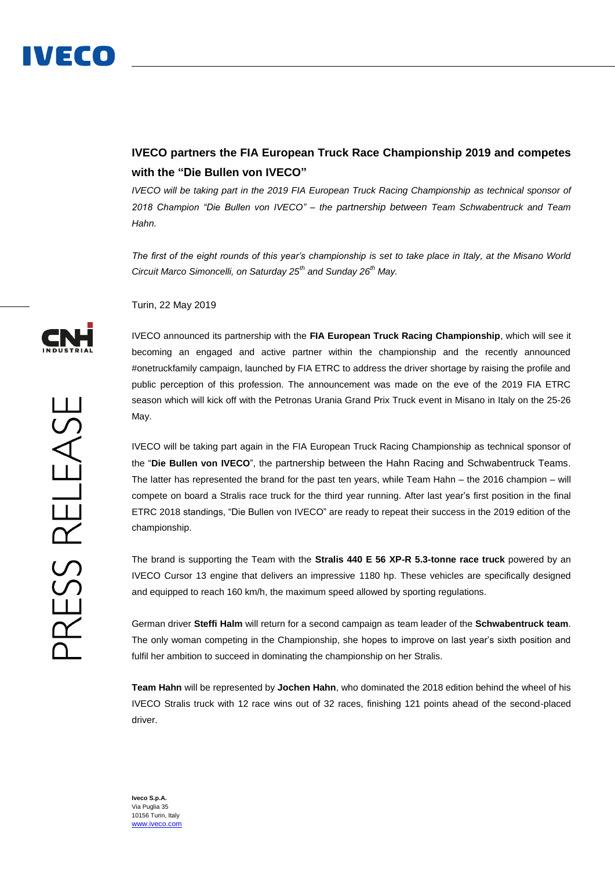

## **IVECO partners the FIA European Truck Race Championship 2019 and competes with the "Die Bullen von IVECO"**

*IVECO will be taking part in the 2019 FIA European Truck Racing Championship as technical sponsor of 2018 Champion "Die Bullen von IVECO" – the partnership between Team Schwabentruck and Team Hahn.*

*The first of the eight rounds of this year's championship is set to take place in Italy, at the Misano World Circuit Marco Simoncelli, on Saturday 25th and Sunday 26th May.*

Turin, 22 May 2019

IVECO announced its partnership with the **FIA European Truck Racing Championship**, which will see it becoming an engaged and active partner within the championship and the recently announced #onetruckfamily campaign, launched by FIA ETRC to address the driver shortage by raising the profile and public perception of this profession. The announcement was made on the eve of the 2019 FIA ETRC season which will kick off with the Petronas Urania Grand Prix Truck event in Misano in Italy on the 25-26 May.

IVECO will be taking part again in the FIA European Truck Racing Championship as technical sponsor of the "**Die Bullen von IVECO**", the partnership between the Hahn Racing and Schwabentruck Teams. The latter has represented the brand for the past ten years, while Team Hahn – the 2016 champion – will compete on board a Stralis race truck for the third year running. After last year's first position in the final ETRC 2018 standings, "Die Bullen von IVECO" are ready to repeat their success in the 2019 edition of the championship.

The brand is supporting the Team with the **Stralis 440 E 56 XP-R 5.3-tonne race truck** powered by an IVECO Cursor 13 engine that delivers an impressive 1180 hp. These vehicles are specifically designed and equipped to reach 160 km/h, the maximum speed allowed by sporting regulations.

German driver **Steffi Halm** will return for a second campaign as team leader of the **Schwabentruck team**. The only woman competing in the Championship, she hopes to improve on last year's sixth position and fulfil her ambition to succeed in dominating the championship on her Stralis.

**Team Hahn** will be represented by **Jochen Hahn**, who dominated the 2018 edition behind the wheel of his IVECO Stralis truck with 12 race wins out of 32 races, finishing 121 points ahead of the second-placed driver.



**Iveco S.p.A.** Via Puglia 35 10156 Turin, Italy [www.iveco.com](http://www.iveco.com/)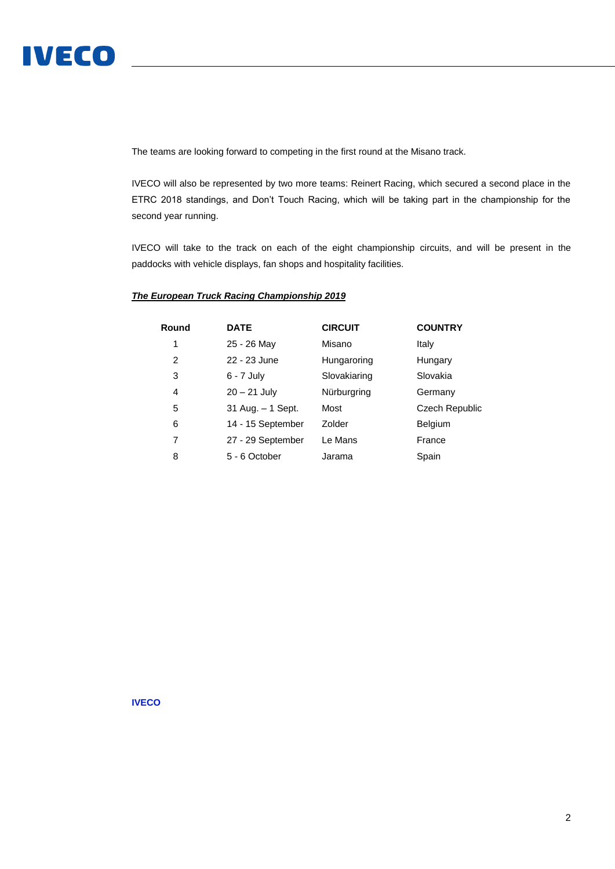

The teams are looking forward to competing in the first round at the Misano track.

IVECO will also be represented by two more teams: Reinert Racing, which secured a second place in the ETRC 2018 standings, and Don't Touch Racing, which will be taking part in the championship for the second year running.

IVECO will take to the track on each of the eight championship circuits, and will be present in the paddocks with vehicle displays, fan shops and hospitality facilities.

## *The European Truck Racing Championship 2019*

| Round | <b>DATE</b>          | <b>CIRCUIT</b> | <b>COUNTRY</b>        |
|-------|----------------------|----------------|-----------------------|
| 1     | 25 - 26 May          | Misano         | Italy                 |
| 2     | 22 - 23 June         | Hungaroring    | Hungary               |
| 3     | $6 - 7$ July         | Slovakiaring   | Slovakia              |
| 4     | $20 - 21$ July       | Nürburgring    | Germany               |
| 5     | $31$ Aug. $-1$ Sept. | Most           | <b>Czech Republic</b> |
| 6     | 14 - 15 September    | Zolder         | Belgium               |
| 7     | 27 - 29 September    | Le Mans        | France                |
| 8     | 5 - 6 October        | Jarama         | Spain                 |

**IVECO**